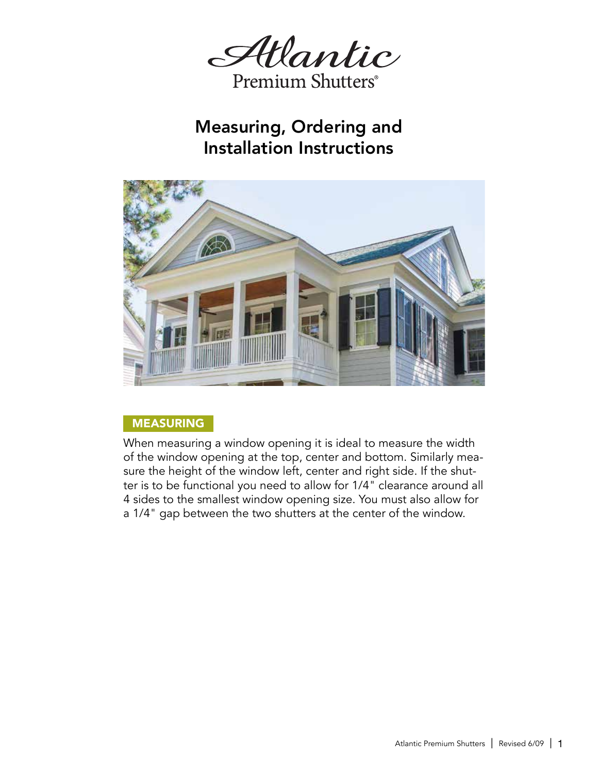

Measuring, Ordering and Installation Instructions



### **MEASURING**

When measuring a window opening it is ideal to measure the width of the window opening at the top, center and bottom. Similarly measure the height of the window left, center and right side. If the shutter is to be functional you need to allow for 1/4" clearance around all 4 sides to the smallest window opening size. You must also allow for a 1/4" gap between the two shutters at the center of the window.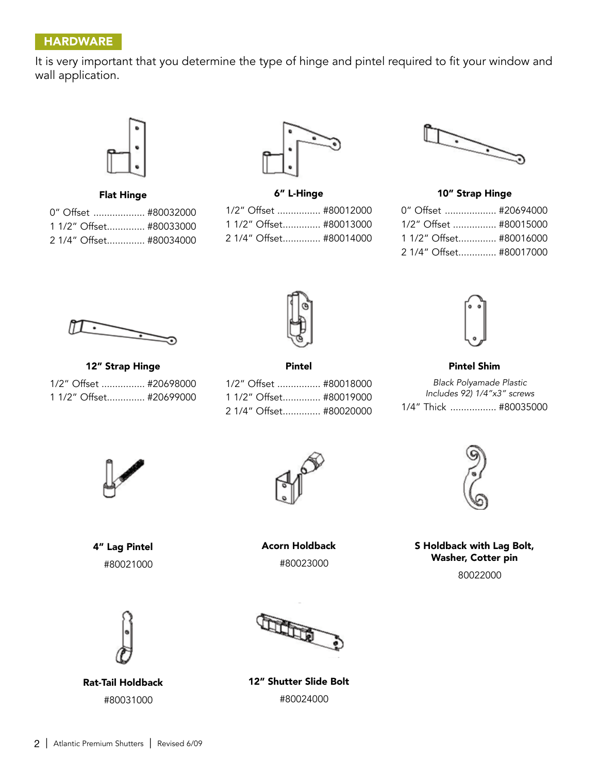#### **HARDWARE**

It is very important that you determine the type of hinge and pintel required to fit your window and wall application.



Flat Hinge

| 0" Offset  #80032000    |  |
|-------------------------|--|
| 1 1/2" Offset #80033000 |  |
| 2 1/4" Offset #80034000 |  |



6" L-Hinge

| 1/2" Offset  #80012000  |  |
|-------------------------|--|
| 1 1/2" Offset #80013000 |  |
| 2 1/4" Offset #80014000 |  |



10" Strap Hinge

| 0″ Offset  #20694000    |  |
|-------------------------|--|
| 1/2" Offset  #80015000  |  |
| 1 1/2" Offset #80016000 |  |
| 2 1/4" Offset #80017000 |  |



12" Strap Hinge 1/2" Offset ................ #20698000 1 1/2" Offset.............. #20699000



Pintel

| 1/2" Offset  #80018000  |  |
|-------------------------|--|
| 1 1/2" Offset #80019000 |  |
| 2 1/4" Offset #80020000 |  |



Pintel Shim

*Black Polyamade Plastic Includes 92) 1/4"x3" screws* 1/4" Thick ................. #80035000





Acorn Holdback #80023000



S Holdback with Lag Bolt, Washer, Cotter pin

80022000





4" Lag Pintel #80021000



Rat-Tail Holdback #80031000

TH

12" Shutter Slide Bolt #80024000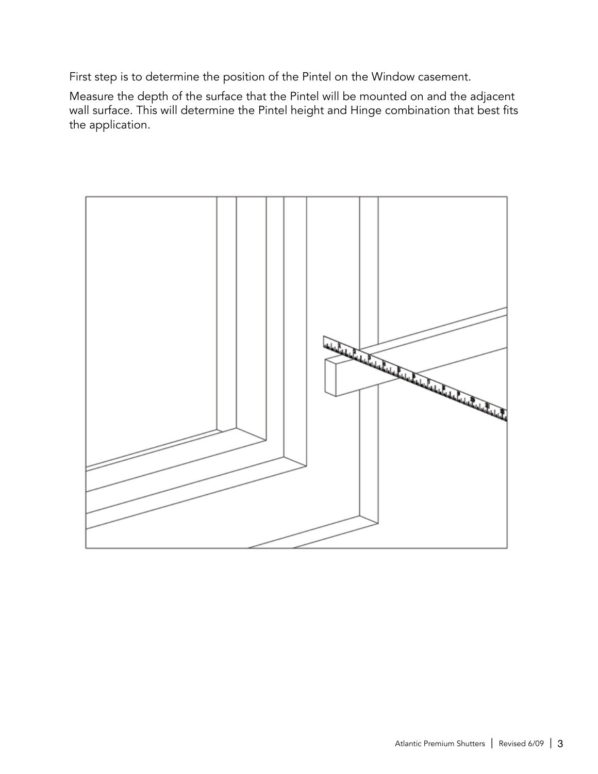First step is to determine the position of the Pintel on the Window casement.

Measure the depth of the surface that the Pintel will be mounted on and the adjacent wall surface. This will determine the Pintel height and Hinge combination that best fits the application.

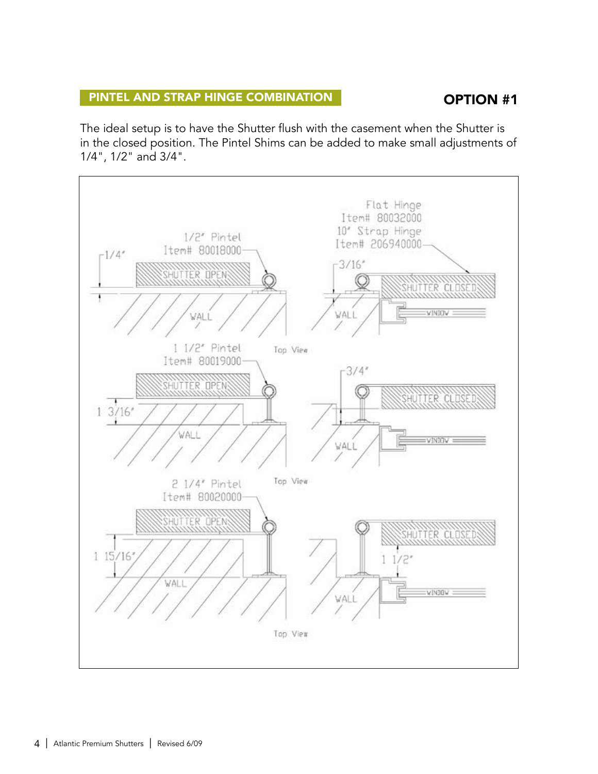# OPTION #1

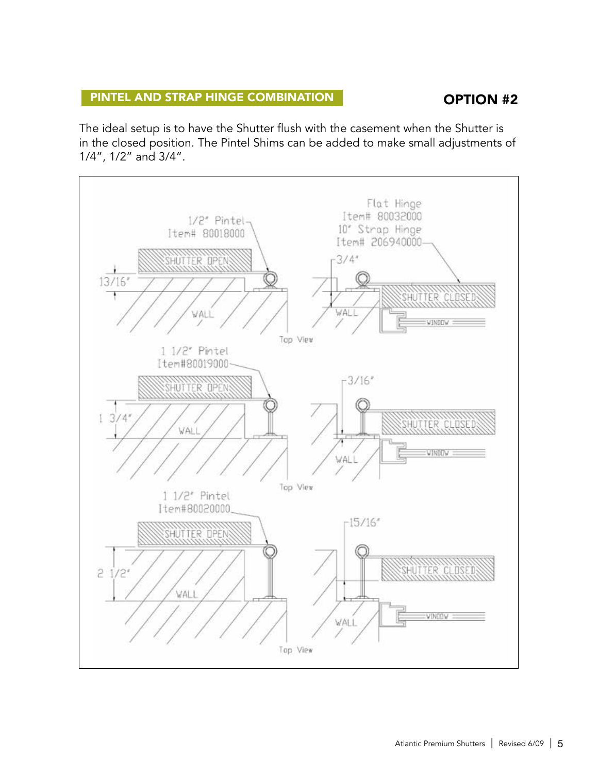# OPTION #2

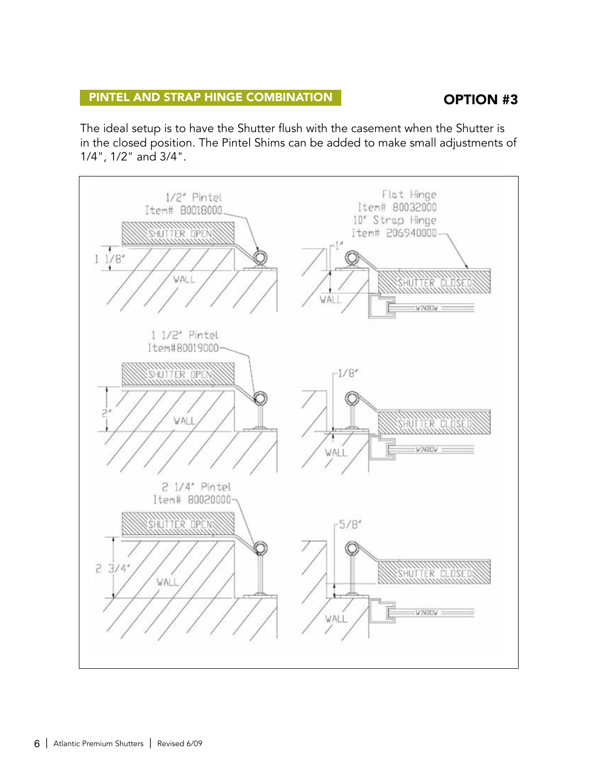### OPTION #3

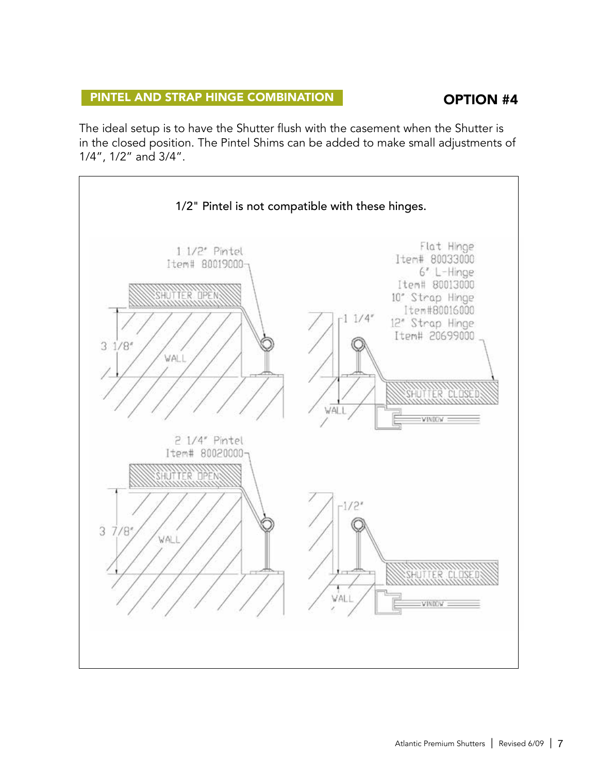# OPTION #4

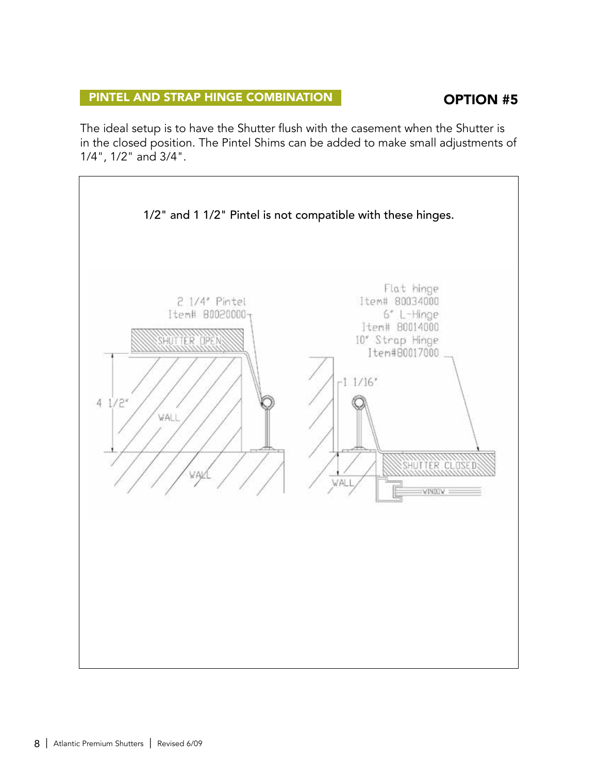# OPTION #5

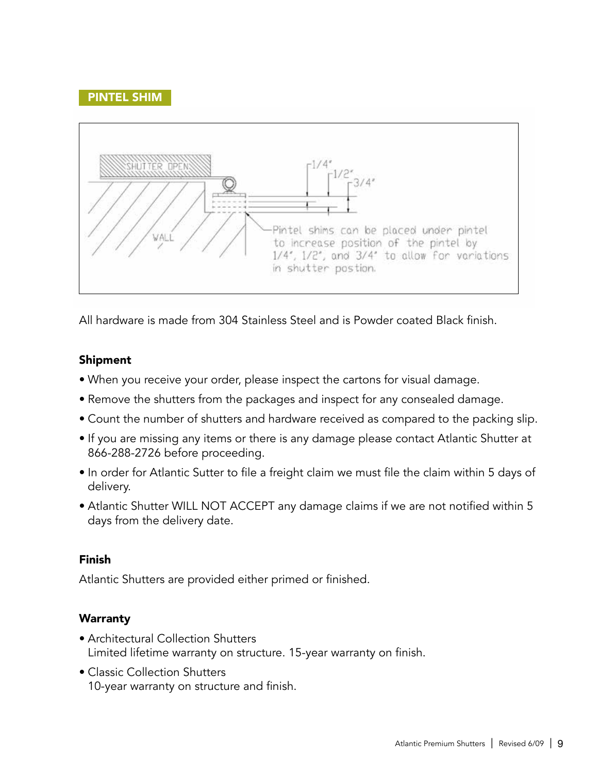#### PINTEL SHIM



All hardware is made from 304 Stainless Steel and is Powder coated Black finish.

#### Shipment

- When you receive your order, please inspect the cartons for visual damage.
- Remove the shutters from the packages and inspect for any consealed damage.
- Count the number of shutters and hardware received as compared to the packing slip.
- If you are missing any items or there is any damage please contact Atlantic Shutter at 866-288-2726 before proceeding.
- In order for Atlantic Sutter to file a freight claim we must file the claim within 5 days of delivery.
- Atlantic Shutter WILL NOT ACCEPT any damage claims if we are not notified within 5 days from the delivery date.

#### Finish

Atlantic Shutters are provided either primed or finished.

#### **Warranty**

- Architectural Collection Shutters Limited lifetime warranty on structure. 15-year warranty on finish.
- Classic Collection Shutters 10-year warranty on structure and finish.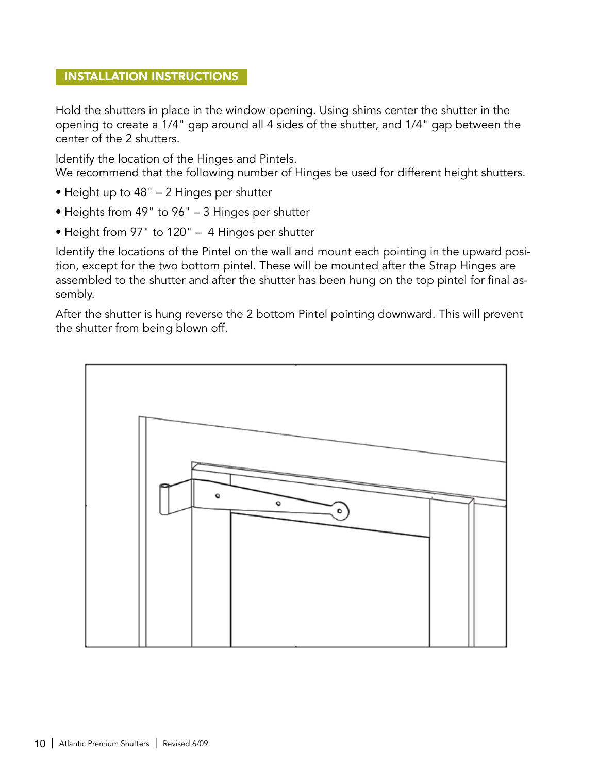Hold the shutters in place in the window opening. Using shims center the shutter in the opening to create a 1/4" gap around all 4 sides of the shutter, and 1/4" gap between the center of the 2 shutters.

Identify the location of the Hinges and Pintels. We recommend that the following number of Hinges be used for different height shutters.

- Height up to 48" 2 Hinges per shutter
- Heights from 49" to 96" 3 Hinges per shutter
- Height from 97" to 120" 4 Hinges per shutter

Identify the locations of the Pintel on the wall and mount each pointing in the upward position, except for the two bottom pintel. These will be mounted after the Strap Hinges are assembled to the shutter and after the shutter has been hung on the top pintel for final assembly.

After the shutter is hung reverse the 2 bottom Pintel pointing downward. This will prevent the shutter from being blown off.

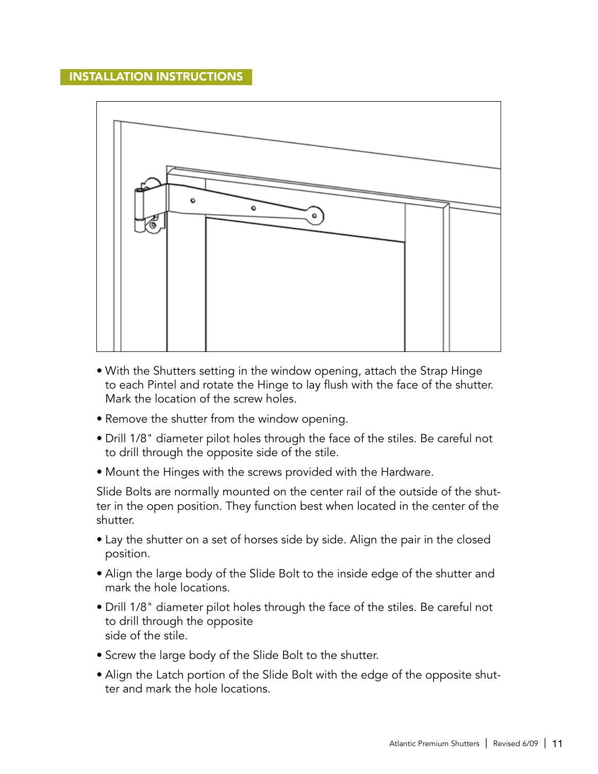

- With the Shutters setting in the window opening, attach the Strap Hinge to each Pintel and rotate the Hinge to lay flush with the face of the shutter. Mark the location of the screw holes.
- Remove the shutter from the window opening.
- Drill 1/8" diameter pilot holes through the face of the stiles. Be careful not to drill through the opposite side of the stile.
- Mount the Hinges with the screws provided with the Hardware.

Slide Bolts are normally mounted on the center rail of the outside of the shutter in the open position. They function best when located in the center of the shutter.

- Lay the shutter on a set of horses side by side. Align the pair in the closed position.
- Align the large body of the Slide Bolt to the inside edge of the shutter and mark the hole locations.
- Drill 1/8" diameter pilot holes through the face of the stiles. Be careful not to drill through the opposite side of the stile.
- Screw the large body of the Slide Bolt to the shutter.
- Align the Latch portion of the Slide Bolt with the edge of the opposite shutter and mark the hole locations.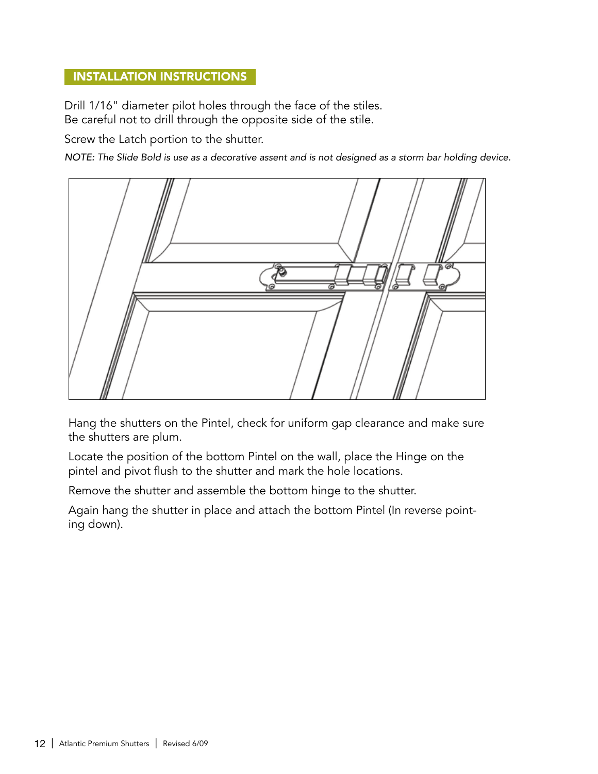Drill 1/16" diameter pilot holes through the face of the stiles. Be careful not to drill through the opposite side of the stile.

Screw the Latch portion to the shutter.

*NOTE: The Slide Bold is use as a decorative assent and is not designed as a storm bar holding device.*



Hang the shutters on the Pintel, check for uniform gap clearance and make sure the shutters are plum.

Locate the position of the bottom Pintel on the wall, place the Hinge on the pintel and pivot flush to the shutter and mark the hole locations.

Remove the shutter and assemble the bottom hinge to the shutter.

Again hang the shutter in place and attach the bottom Pintel (In reverse pointing down).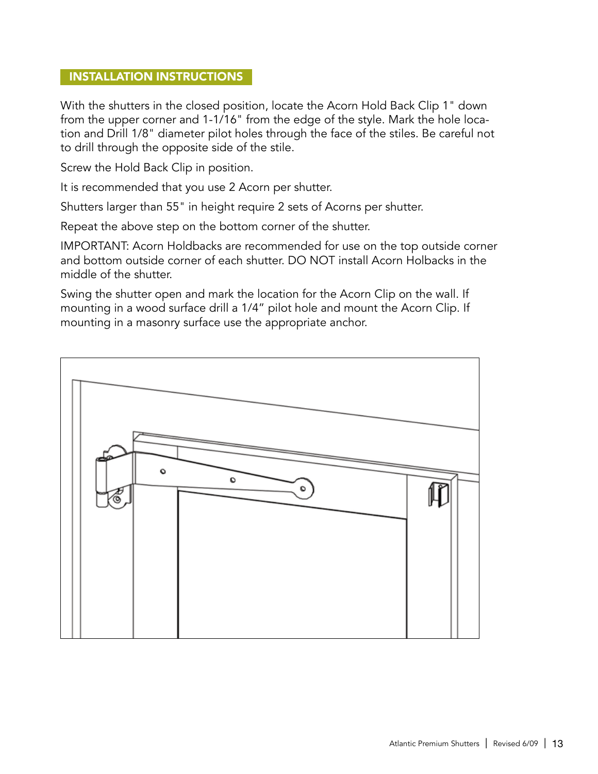With the shutters in the closed position, locate the Acorn Hold Back Clip 1" down from the upper corner and 1-1/16" from the edge of the style. Mark the hole location and Drill 1/8" diameter pilot holes through the face of the stiles. Be careful not to drill through the opposite side of the stile.

Screw the Hold Back Clip in position.

It is recommended that you use 2 Acorn per shutter.

Shutters larger than 55" in height require 2 sets of Acorns per shutter.

Repeat the above step on the bottom corner of the shutter.

IMPORTANT: Acorn Holdbacks are recommended for use on the top outside corner and bottom outside corner of each shutter. DO NOT install Acorn Holbacks in the middle of the shutter.

Swing the shutter open and mark the location for the Acorn Clip on the wall. If mounting in a wood surface drill a 1/4" pilot hole and mount the Acorn Clip. If mounting in a masonry surface use the appropriate anchor.

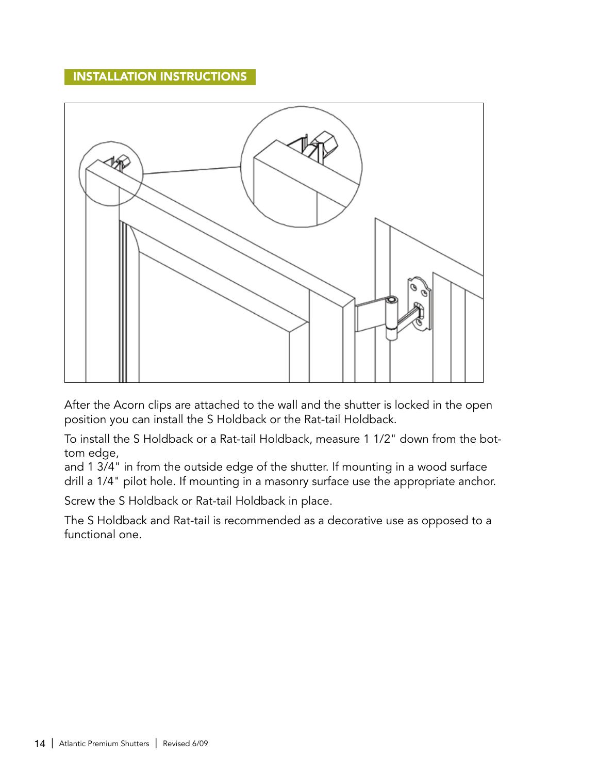

After the Acorn clips are attached to the wall and the shutter is locked in the open position you can install the S Holdback or the Rat-tail Holdback.

To install the S Holdback or a Rat-tail Holdback, measure 1 1/2" down from the bottom edge,

and 1 3/4" in from the outside edge of the shutter. If mounting in a wood surface drill a 1/4" pilot hole. If mounting in a masonry surface use the appropriate anchor.

Screw the S Holdback or Rat-tail Holdback in place.

The S Holdback and Rat-tail is recommended as a decorative use as opposed to a functional one.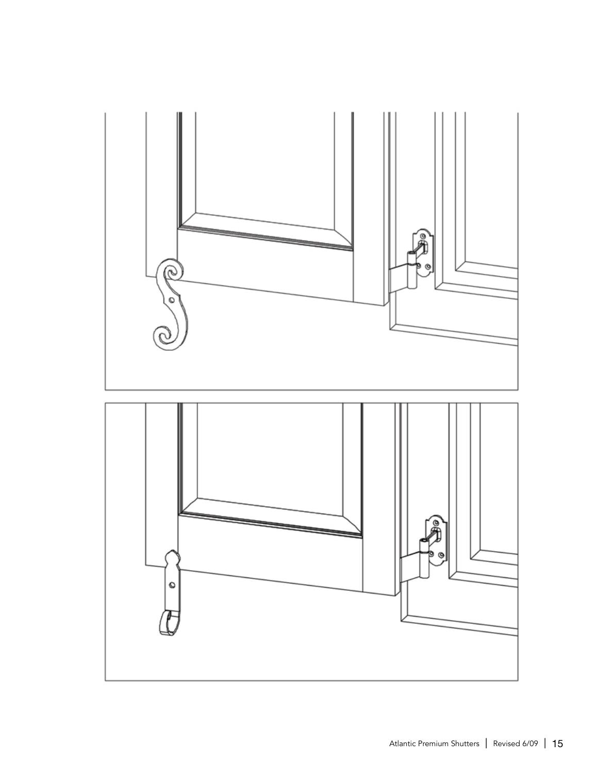